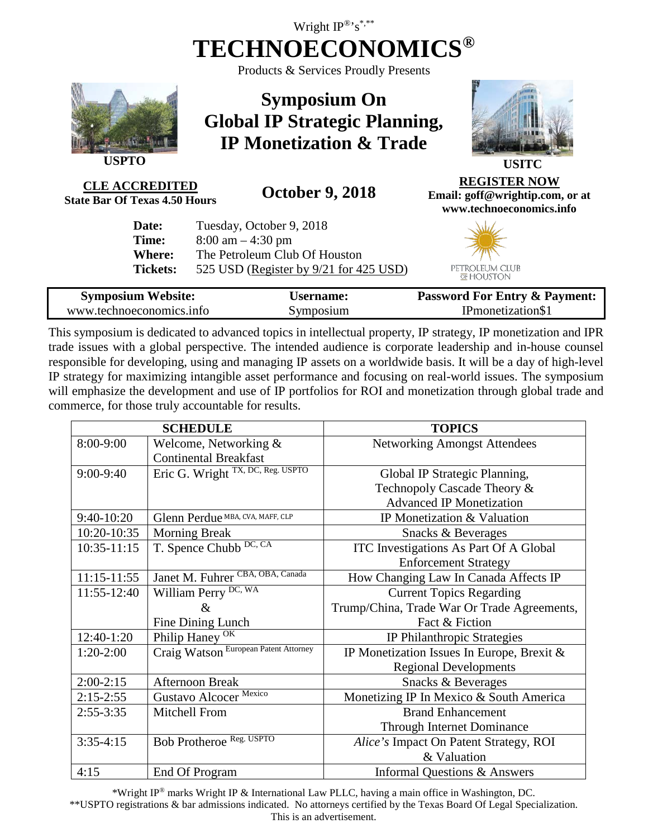# Wright  $IP^{\circledR}$ 's<sup>\*,\*\*</sup> **TECHNOECONOMICS®**

Products & Services Proudly Presents



**USPTO**

**Symposium On Global IP Strategic Planning, IP Monetization & Trade**



**CLE ACCREDITED**<br>State Bar Of Texas 4.50 Hours

**State Bar Of Texas 4.50 Hours October 9, 2018**

**Email: goff@wrightip.com, or at www.technoeconomics.info**

> PETROLEUM CLUB HOUSTON

**REGISTER NOW**

| Date:           | Tuesday, October 9, 2018               |
|-----------------|----------------------------------------|
| Time:           | $8:00 \text{ am} - 4:30 \text{ pm}$    |
| Where:          | The Petroleum Club Of Houston          |
| <b>Tickets:</b> | 525 USD (Register by 9/21 for 425 USD) |

| <b>Symposium Website:</b> | <b>Username:</b> | <b>Password For Entry &amp; Payment:</b> |
|---------------------------|------------------|------------------------------------------|
| www.technoeconomics.info  | Symposium        | IPmonetization\$1                        |

This symposium is dedicated to advanced topics in intellectual property, IP strategy, IP monetization and IPR trade issues with a global perspective. The intended audience is corporate leadership and in-house counsel responsible for developing, using and managing IP assets on a worldwide basis. It will be a day of high-level IP strategy for maximizing intangible asset performance and focusing on real-world issues. The symposium will emphasize the development and use of IP portfolios for ROI and monetization through global trade and commerce, for those truly accountable for results.

| <b>SCHEDULE</b> |                                       | <b>TOPICS</b>                                 |
|-----------------|---------------------------------------|-----------------------------------------------|
| 8:00-9:00       | Welcome, Networking $&$               | <b>Networking Amongst Attendees</b>           |
|                 | <b>Continental Breakfast</b>          |                                               |
| $9:00-9:40$     | Eric G. Wright TX, DC, Reg. USPTO     | Global IP Strategic Planning,                 |
|                 |                                       | Technopoly Cascade Theory &                   |
|                 |                                       | <b>Advanced IP Monetization</b>               |
| $9:40-10:20$    | Glenn Perdue MBA, CVA, MAFF, CLP      | IP Monetization & Valuation                   |
| 10:20-10:35     | <b>Morning Break</b>                  | Snacks & Beverages                            |
| $10:35 - 11:15$ | T. Spence Chubb DC, CA                | <b>ITC</b> Investigations As Part Of A Global |
|                 |                                       | <b>Enforcement Strategy</b>                   |
| $11:15 - 11:55$ | Janet M. Fuhrer CBA, OBA, Canada      | How Changing Law In Canada Affects IP         |
| 11:55-12:40     | William Perry DC, WA                  | <b>Current Topics Regarding</b>               |
|                 | &                                     | Trump/China, Trade War Or Trade Agreements,   |
|                 | Fine Dining Lunch                     | Fact & Fiction                                |
| 12:40-1:20      | Philip Haney <sup>OK</sup>            | IP Philanthropic Strategies                   |
| $1:20-2:00$     | Craig Watson European Patent Attorney | IP Monetization Issues In Europe, Brexit &    |
|                 |                                       | <b>Regional Developments</b>                  |
| $2:00-2:15$     | <b>Afternoon Break</b>                | Snacks & Beverages                            |
| $2:15-2:55$     | Gustavo Alcocer Mexico                | Monetizing IP In Mexico & South America       |
| $2:55-3:35$     | Mitchell From                         | <b>Brand Enhancement</b>                      |
|                 |                                       | Through Internet Dominance                    |
| $3:35-4:15$     | Bob Protheroe Reg. USPTO              | Alice's Impact On Patent Strategy, ROI        |
|                 |                                       | & Valuation                                   |
| 4:15            | End Of Program                        | Informal Questions & Answers                  |

\*Wright IP® marks Wright IP & International Law PLLC, having a main office in Washington, DC. \*\*USPTO registrations & bar admissions indicated. No attorneys certified by the Texas Board Of Legal Specialization. This is an advertisement.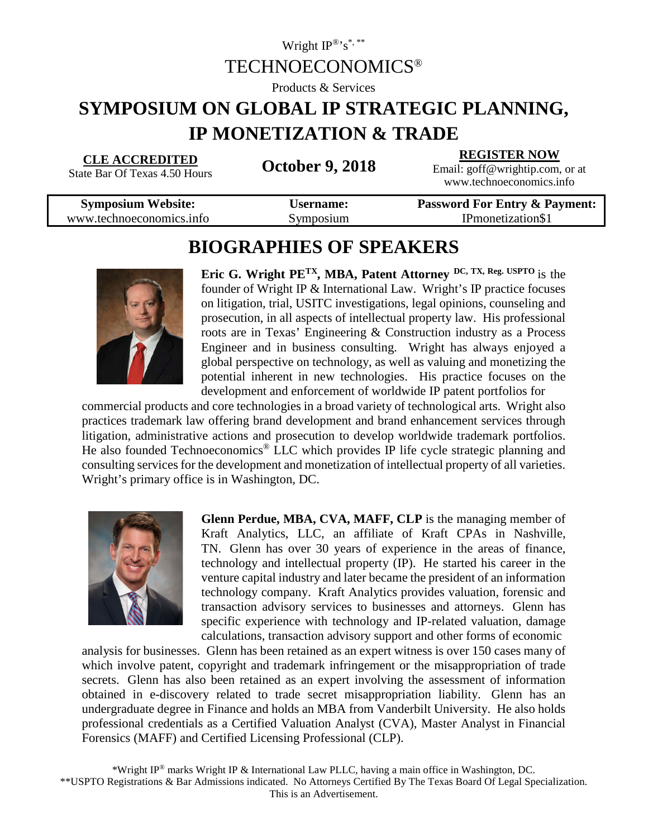### Wright  $IP^{\circledR}$ 's<sup>\*,\*\*</sup> TECHNOECONOMICS®

Products & Services

# **SYMPOSIUM ON GLOBAL IP STRATEGIC PLANNING, IP MONETIZATION & TRADE**

#### **CLE ACCREDITED**

State Bar Of Texas 4.50 Hours **October 9, 2018**

**REGISTER NOW** Email: goff@wrightip.com, or at

www.technoeconomics.info

| <b>Symposium Website:</b> | Username: | <b>Password For Entry &amp; Payment:</b> |
|---------------------------|-----------|------------------------------------------|
| www.technoeconomics.info  | Symposium | IPmonetization\$1                        |
|                           |           |                                          |

## **BIOGRAPHIES OF SPEAKERS**



**Eric G. Wright PETX, MBA, Patent Attorney DC, TX, Reg. USPTO** is the founder of Wright IP & International Law. Wright's IP practice focuses on litigation, trial, USITC investigations, legal opinions, counseling and prosecution, in all aspects of intellectual property law. His professional roots are in Texas' Engineering & Construction industry as a Process Engineer and in business consulting. Wright has always enjoyed a global perspective on technology, as well as valuing and monetizing the potential inherent in new technologies. His practice focuses on the development and enforcement of worldwide IP patent portfolios for

commercial products and core technologies in a broad variety of technological arts. Wright also practices trademark law offering brand development and brand enhancement services through litigation, administrative actions and prosecution to develop worldwide trademark portfolios. He also founded Technoeconomics<sup>®</sup> LLC which provides IP life cycle strategic planning and consulting services for the development and monetization of intellectual property of all varieties. Wright's primary office is in Washington, DC.



**Glenn Perdue, MBA, CVA, MAFF, CLP** is the managing member of Kraft Analytics, LLC, an affiliate of Kraft CPAs in Nashville, TN. Glenn has over 30 years of experience in the areas of finance, technology and intellectual property (IP). He started his career in the venture capital industry and later became the president of an information technology company. Kraft Analytics provides valuation, forensic and transaction advisory services to businesses and attorneys. Glenn has specific experience with technology and IP-related valuation, damage calculations, transaction advisory support and other forms of economic

analysis for businesses. Glenn has been retained as an expert witness is over 150 cases many of which involve patent, copyright and trademark infringement or the misappropriation of trade secrets. Glenn has also been retained as an expert involving the assessment of information obtained in e-discovery related to trade secret misappropriation liability. Glenn has an undergraduate degree in Finance and holds an MBA from Vanderbilt University. He also holds professional credentials as a Certified Valuation Analyst (CVA), Master Analyst in Financial Forensics (MAFF) and Certified Licensing Professional (CLP).

\*Wright IP® marks Wright IP & International Law PLLC, having a main office in Washington, DC. \*\*USPTO Registrations & Bar Admissions indicated. No Attorneys Certified By The Texas Board Of Legal Specialization. This is an Advertisement.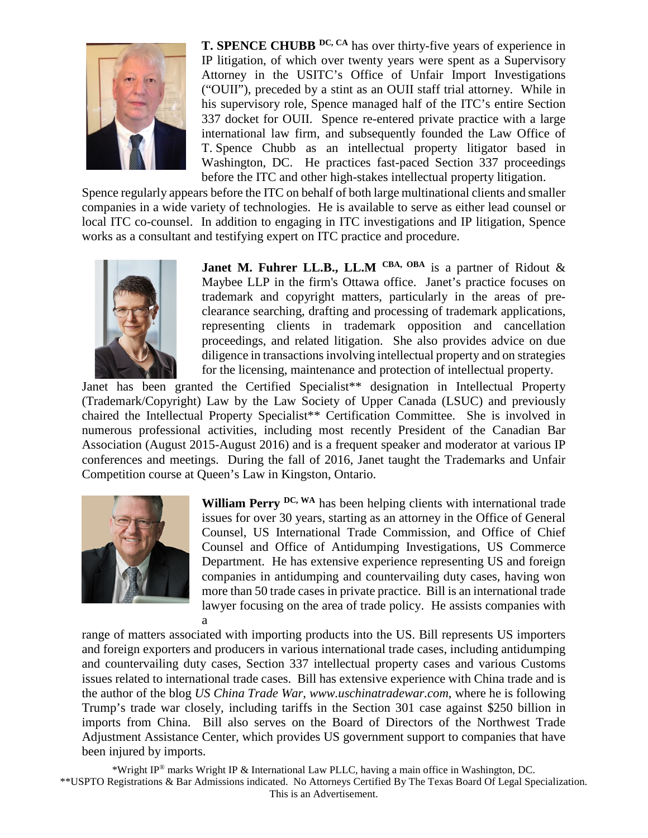

**T. SPENCE CHUBB DC, CA** has over thirty-five years of experience in IP litigation, of which over twenty years were spent as a Supervisory Attorney in the USITC's Office of Unfair Import Investigations ("OUII"), preceded by a stint as an OUII staff trial attorney. While in his supervisory role, Spence managed half of the ITC's entire Section 337 docket for OUII. Spence re-entered private practice with a large international law firm, and subsequently founded the Law Office of T. Spence Chubb as an intellectual property litigator based in Washington, DC. He practices fast-paced Section 337 proceedings before the ITC and other high-stakes intellectual property litigation.

Spence regularly appears before the ITC on behalf of both large multinational clients and smaller companies in a wide variety of technologies. He is available to serve as either lead counsel or local ITC co-counsel. In addition to engaging in ITC investigations and IP litigation, Spence works as a consultant and testifying expert on ITC practice and procedure.



**Janet M. Fuhrer LL.B., LL.M** CBA, OBA is a partner of Ridout  $\&$ Maybee LLP in the firm's Ottawa office. Janet's practice focuses on trademark and copyright matters, particularly in the areas of preclearance searching, drafting and processing of trademark applications, representing clients in trademark opposition and cancellation proceedings, and related litigation. She also provides advice on due diligence in transactions involving intellectual property and on strategies for the licensing, maintenance and protection of intellectual property.

Janet has been granted the Certified Specialist<sup>\*\*</sup> designation in Intellectual Property (Trademark/Copyright) Law by the Law Society of Upper Canada (LSUC) and previously chaired the Intellectual Property Specialist\*\* Certification Committee. She is involved in numerous professional activities, including most recently President of the Canadian Bar Association (August 2015-August 2016) and is a frequent speaker and moderator at various IP conferences and meetings. During the fall of 2016, Janet taught the Trademarks and Unfair Competition course at Queen's Law in Kingston, Ontario.



William Perry <sup>DC, WA</sup> has been helping clients with international trade issues for over 30 years, starting as an attorney in the Office of General Counsel, US International Trade Commission, and Office of Chief Counsel and Office of Antidumping Investigations, US Commerce Department. He has extensive experience representing US and foreign companies in antidumping and countervailing duty cases, having won more than 50 trade cases in private practice. Bill is an international trade lawyer focusing on the area of trade policy. He assists companies with a

range of matters associated with importing products into the US. Bill represents US importers and foreign exporters and producers in various international trade cases, including antidumping and countervailing duty cases, Section 337 intellectual property cases and various Customs issues related to international trade cases. Bill has extensive experience with China trade and is the author of the blog *US China Trade War, www.uschinatradewar.com*, where he is following Trump's trade war closely, including tariffs in the Section 301 case against \$250 billion in imports from China. Bill also serves on the Board of Directors of the Northwest Trade Adjustment Assistance Center, which provides US government support to companies that have been injured by imports.

\*Wright IP® marks Wright IP & International Law PLLC, having a main office in Washington, DC. \*\*USPTO Registrations & Bar Admissions indicated. No Attorneys Certified By The Texas Board Of Legal Specialization. This is an Advertisement.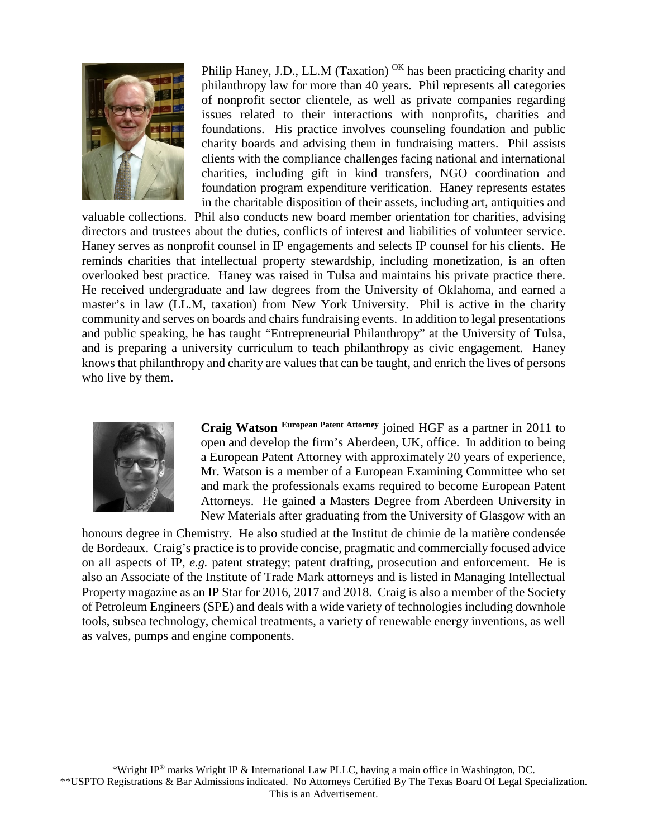

Philip Haney, J.D., LL.M (Taxation) <sup>OK</sup> has been practicing charity and philanthropy law for more than 40 years. Phil represents all categories of nonprofit sector clientele, as well as private companies regarding issues related to their interactions with nonprofits, charities and foundations. His practice involves counseling foundation and public charity boards and advising them in fundraising matters. Phil assists clients with the compliance challenges facing national and international charities, including gift in kind transfers, NGO coordination and foundation program expenditure verification. Haney represents estates in the charitable disposition of their assets, including art, antiquities and

valuable collections. Phil also conducts new board member orientation for charities, advising directors and trustees about the duties, conflicts of interest and liabilities of volunteer service. Haney serves as nonprofit counsel in IP engagements and selects IP counsel for his clients. He reminds charities that intellectual property stewardship, including monetization, is an often overlooked best practice. Haney was raised in Tulsa and maintains his private practice there. He received undergraduate and law degrees from the University of Oklahoma, and earned a master's in law (LL.M, taxation) from New York University. Phil is active in the charity community and serves on boards and chairs fundraising events. In addition to legal presentations and public speaking, he has taught "Entrepreneurial Philanthropy" at the University of Tulsa, and is preparing a university curriculum to teach philanthropy as civic engagement. Haney knows that philanthropy and charity are values that can be taught, and enrich the lives of persons who live by them.



**Craig Watson European Patent Attorney** joined HGF as a partner in 2011 to open and develop the firm's Aberdeen, UK, office. In addition to being a European Patent Attorney with approximately 20 years of experience, Mr. Watson is a member of a European Examining Committee who set and mark the professionals exams required to become European Patent Attorneys. He gained a Masters Degree from Aberdeen University in New Materials after graduating from the University of Glasgow with an

honours degree in Chemistry. He also studied at the Institut de chimie de la matière condensée de Bordeaux. Craig's practice is to provide concise, pragmatic and commercially focused advice on all aspects of IP, *e.g.* patent strategy; patent drafting, prosecution and enforcement. He is also an Associate of the Institute of Trade Mark attorneys and is listed in Managing Intellectual Property magazine as an IP Star for 2016, 2017 and 2018. Craig is also a member of the Society of Petroleum Engineers (SPE) and deals with a wide variety of technologies including downhole tools, subsea technology, chemical treatments, a variety of renewable energy inventions, as well as valves, pumps and engine components.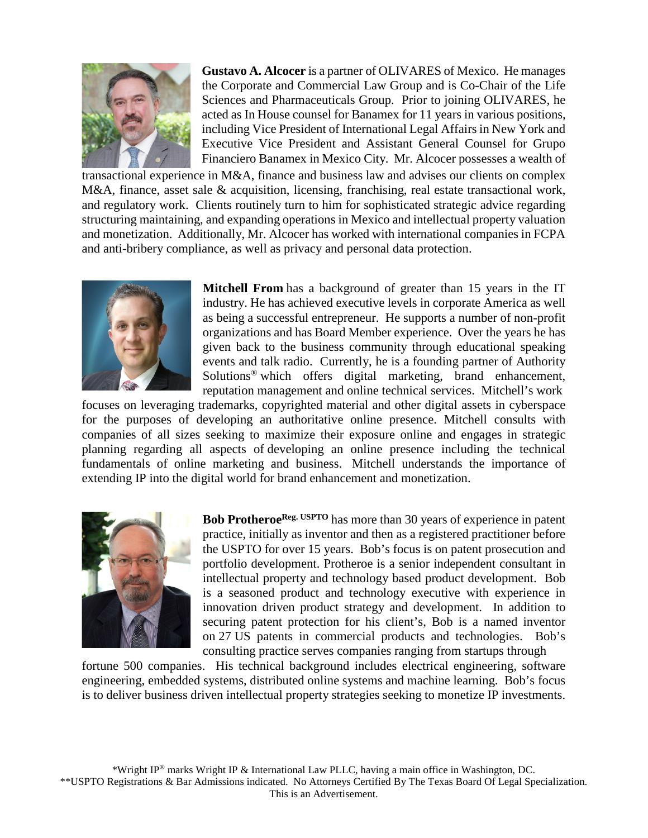

**Gustavo A. Alcocer** is a partner of OLIVARES of Mexico. He manages the Corporate and Commercial Law Group and is Co-Chair of the Life Sciences and Pharmaceuticals Group. Prior to joining OLIVARES, he acted as In House counsel for Banamex for 11 years in various positions, including Vice President of International Legal Affairs in New York and Executive Vice President and Assistant General Counsel for Grupo Financiero Banamex in Mexico City. Mr. Alcocer possesses a wealth of

transactional experience in M&A, finance and business law and advises our clients on complex M&A, finance, asset sale & acquisition, licensing, franchising, real estate transactional work, and regulatory work. Clients routinely turn to him for sophisticated strategic advice regarding structuring maintaining, and expanding operations in Mexico and intellectual property valuation and monetization. Additionally, Mr. Alcocer has worked with international companies in FCPA and anti-bribery compliance, as well as privacy and personal data protection.



**Mitchell From** has a background of greater than 15 years in the IT industry. He has achieved executive levels in corporate America as well as being a successful entrepreneur. He supports a number of non-profit organizations and has Board Member experience. Over the years he has given back to the business community through educational speaking events and talk radio. Currently, he is a founding partner of Authority Solutions® which offers digital marketing, brand enhancement, reputation management and online technical services. Mitchell's work

focuses on leveraging trademarks, copyrighted material and other digital assets in cyberspace for the purposes of developing an authoritative online presence. Mitchell consults with companies of all sizes seeking to maximize their exposure online and engages in strategic planning regarding all aspects of developing an online presence including the technical fundamentals of online marketing and business. Mitchell understands the importance of extending IP into the digital world for brand enhancement and monetization.



Bob Protheroe<sup>Reg. USPTO</sup> has more than 30 years of experience in patent practice, initially as inventor and then as a registered practitioner before the USPTO for over 15 years. Bob's focus is on patent prosecution and portfolio development. Protheroe is a senior independent consultant in intellectual property and technology based product development. Bob is a seasoned product and technology executive with experience in innovation driven product strategy and development. In addition to securing patent protection for his client's, Bob is a named inventor on 27 US patents in commercial products and technologies. Bob's consulting practice serves companies ranging from startups through

fortune 500 companies. His technical background includes electrical engineering, software engineering, embedded systems, distributed online systems and machine learning. Bob's focus is to deliver business driven intellectual property strategies seeking to monetize IP investments.